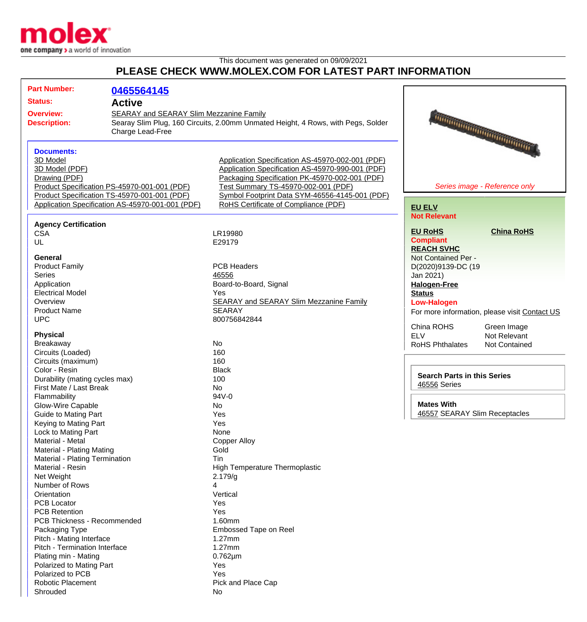

This document was generated on 09/09/2021

## **PLEASE CHECK WWW.MOLEX.COM FOR LATEST PART INFORMATION**

| <b>Part Number:</b>                                                             | 0465564145                                                                                                                                       |                                                                                                                                                                                                                                                                                         |                                                    |                                               |
|---------------------------------------------------------------------------------|--------------------------------------------------------------------------------------------------------------------------------------------------|-----------------------------------------------------------------------------------------------------------------------------------------------------------------------------------------------------------------------------------------------------------------------------------------|----------------------------------------------------|-----------------------------------------------|
| <b>Status:</b><br><b>Active</b>                                                 |                                                                                                                                                  |                                                                                                                                                                                                                                                                                         |                                                    |                                               |
| <b>Overview:</b><br><b>Description:</b>                                         | SEARAY and SEARAY Slim Mezzanine Family<br>Charge Lead-Free                                                                                      | Searay Slim Plug, 160 Circuits, 2.00mm Unmated Height, 4 Rows, with Pegs, Solder                                                                                                                                                                                                        |                                                    | THE CONTRACTOR OF THE CONTRACTOR              |
| <b>Documents:</b><br>3D Model<br>3D Model (PDF)<br>Drawing (PDF)                | Product Specification PS-45970-001-001 (PDF)<br>Product Specification TS-45970-001-001 (PDF)<br>Application Specification AS-45970-001-001 (PDF) | Application Specification AS-45970-002-001 (PDF)<br>Application Specification AS-45970-990-001 (PDF)<br>Packaging Specification PK-45970-002-001 (PDF)<br>Test Summary TS-45970-002-001 (PDF)<br>Symbol Footprint Data SYM-46556-4145-001 (PDF)<br>RoHS Certificate of Compliance (PDF) | <b>EU ELV</b>                                      | Series image - Reference only                 |
| <b>Agency Certification</b>                                                     |                                                                                                                                                  |                                                                                                                                                                                                                                                                                         | <b>Not Relevant</b><br><b>EU RoHS</b>              | <b>China RoHS</b>                             |
| <b>CSA</b><br>UL                                                                |                                                                                                                                                  | LR19980<br>E29179                                                                                                                                                                                                                                                                       | <b>Compliant</b><br><b>REACH SVHC</b>              |                                               |
| <b>General</b><br><b>Product Family</b>                                         |                                                                                                                                                  | <b>PCB Headers</b>                                                                                                                                                                                                                                                                      | Not Contained Per -<br>D(2020)9139-DC (19          |                                               |
| <b>Series</b><br>Application<br><b>Electrical Model</b>                         |                                                                                                                                                  | 46556<br>Board-to-Board, Signal<br>Yes                                                                                                                                                                                                                                                  | Jan 2021)<br><b>Halogen-Free</b><br><b>Status</b>  |                                               |
| Overview<br><b>Product Name</b><br><b>UPC</b>                                   |                                                                                                                                                  | <b>SEARAY and SEARAY Slim Mezzanine Family</b><br><b>SEARAY</b><br>800756842844                                                                                                                                                                                                         | <b>Low-Halogen</b>                                 | For more information, please visit Contact US |
| <b>Physical</b><br>Breakaway                                                    |                                                                                                                                                  | <b>No</b>                                                                                                                                                                                                                                                                               | China ROHS<br><b>ELV</b><br><b>RoHS Phthalates</b> | Green Image<br>Not Relevant<br>Not Contained  |
| Circuits (Loaded)<br>Circuits (maximum)                                         |                                                                                                                                                  | 160<br>160                                                                                                                                                                                                                                                                              |                                                    |                                               |
| Color - Resin<br>Durability (mating cycles max)<br>First Mate / Last Break      |                                                                                                                                                  | <b>Black</b><br>100<br><b>No</b>                                                                                                                                                                                                                                                        | <b>Search Parts in this Series</b><br>46556 Series |                                               |
| Flammability                                                                    |                                                                                                                                                  | 94V-0                                                                                                                                                                                                                                                                                   |                                                    |                                               |
| Glow-Wire Capable<br><b>Guide to Mating Part</b>                                |                                                                                                                                                  | No<br>Yes<br>Yes                                                                                                                                                                                                                                                                        | <b>Mates With</b><br>46557 SEARAY Slim Receptacles |                                               |
| Keying to Mating Part<br>Lock to Mating Part<br>Material - Metal                |                                                                                                                                                  | None<br><b>Copper Alloy</b>                                                                                                                                                                                                                                                             |                                                    |                                               |
| Material - Plating Mating<br>Material - Plating Termination<br>Material - Resin |                                                                                                                                                  | Gold<br><b>Tin</b><br>High Temperature Thermoplastic                                                                                                                                                                                                                                    |                                                    |                                               |
| Net Weight<br>Number of Rows                                                    |                                                                                                                                                  | 2.179/q<br>4                                                                                                                                                                                                                                                                            |                                                    |                                               |
| Orientation<br><b>PCB Locator</b>                                               |                                                                                                                                                  | Vertical<br>Yes                                                                                                                                                                                                                                                                         |                                                    |                                               |
| <b>PCB Retention</b><br>PCB Thickness - Recommended<br>Packaging Type           |                                                                                                                                                  | Yes<br>1.60mm<br><b>Embossed Tape on Reel</b>                                                                                                                                                                                                                                           |                                                    |                                               |
| Pitch - Mating Interface<br>Pitch - Termination Interface                       |                                                                                                                                                  | 1.27mm<br>1.27mm                                                                                                                                                                                                                                                                        |                                                    |                                               |
| Plating min - Mating<br>Polarized to Mating Part<br>Polarized to PCB            |                                                                                                                                                  | $0.762 \mu m$<br>Yes<br>Yes                                                                                                                                                                                                                                                             |                                                    |                                               |
| Robotic Placement<br>Shrouded                                                   |                                                                                                                                                  | Pick and Place Cap<br>No                                                                                                                                                                                                                                                                |                                                    |                                               |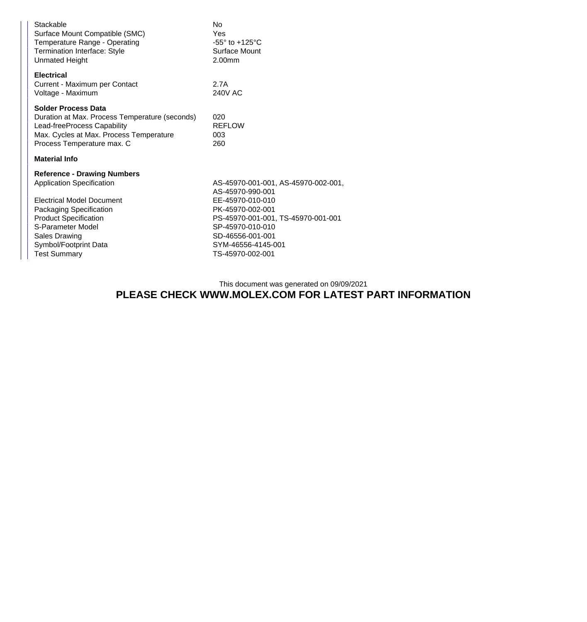| Stackable<br>Surface Mount Compatible (SMC)<br>Temperature Range - Operating<br><b>Termination Interface: Style</b><br><b>Unmated Height</b>                                                                                                                              | No.<br>Yes<br>$-55^\circ$ to $+125^\circ$ C<br>Surface Mount<br>2.00mm                                                                                                                                                  |
|---------------------------------------------------------------------------------------------------------------------------------------------------------------------------------------------------------------------------------------------------------------------------|-------------------------------------------------------------------------------------------------------------------------------------------------------------------------------------------------------------------------|
| <b>Electrical</b><br>Current - Maximum per Contact<br>Voltage - Maximum                                                                                                                                                                                                   | 2.7A<br>240V AC                                                                                                                                                                                                         |
| <b>Solder Process Data</b><br>Duration at Max. Process Temperature (seconds)<br>Lead-freeProcess Capability<br>Max. Cycles at Max. Process Temperature<br>Process Temperature max. C                                                                                      | 020<br><b>REFLOW</b><br>003<br>260                                                                                                                                                                                      |
| <b>Material Info</b>                                                                                                                                                                                                                                                      |                                                                                                                                                                                                                         |
| <b>Reference - Drawing Numbers</b><br><b>Application Specification</b><br><b>Electrical Model Document</b><br><b>Packaging Specification</b><br><b>Product Specification</b><br>S-Parameter Model<br><b>Sales Drawing</b><br>Symbol/Footprint Data<br><b>Test Summary</b> | AS-45970-001-001, AS-45970-002-001,<br>AS-45970-990-001<br>EE-45970-010-010<br>PK-45970-002-001<br>PS-45970-001-001, TS-45970-001-001<br>SP-45970-010-010<br>SD-46556-001-001<br>SYM-46556-4145-001<br>TS-45970-002-001 |

This document was generated on 09/09/2021

## **PLEASE CHECK WWW.MOLEX.COM FOR LATEST PART INFORMATION**